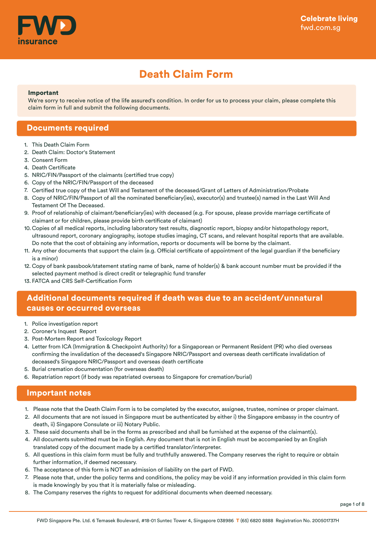

# Death Claim Form

#### Important

We're sorry to receive notice of the life assured's condition. In order for us to process your claim, please complete this claim form in full and submit the following documents.

#### Documents required

- 1. This Death Claim Form
- 2. Death Claim: Doctor's Statement
- Consent Form 3.
- 4. Death Certificate
- 5. NRIC/FIN/Passport of the claimants (certified true copy)
- 6. Copy of the NRIC/FIN/Passport of the deceased
- 7. Certified true copy of the Last Will and Testament of the deceased/Grant of Letters of Administration/Probate
- 8. Copy of NRIC/FIN/Passport of all the nominated beneficiary(ies), executor(s) and trustee(s) named in the Last Will And Testament Of The Deceased.
- Proof of relationship of claimant/beneficiary(ies) with deceased (e.g. For spouse, please provide marriage certificate of 9. claimant or for children, please provide birth certificate of claimant)
- 10. Copies of all medical reports, including laboratory test results, diagnostic report, biopsy and/or histopathology report, ultrasound report, coronary angiography, isotope studies imaging, CT scans, and relevant hospital reports that are available. Do note that the cost of obtaining any information, reports or documents will be borne by the claimant.
- 11. Any other documents that support the claim (e.g. Official certificate of appointment of the legal guardian if the beneficiary is a minor)
- 12. Copy of bank passbook/statement stating name of bank, name of holder(s) & bank account number must be provided if the selected payment method is direct credit or telegraphic fund transfer
- FATCA and CRS Self-Certification Form 13.

### Additional documents required if death was due to an accident/unnatural causes or occurred overseas

- 1. Police investigation report
- 2. Coroner's Inquest Report
- 3. Post-Mortem Report and Toxicology Report
- 4. Letter from ICA (Immigration & Checkpoint Authority) for a Singaporean or Permanent Resident (PR) who died overseas confirming the invalidation of the deceased's Singapore NRIC/Passport and overseas death certificate invalidation of deceased's Singapore NRIC/Passport and overseas death certificate
- 5. Burial cremation documentation (for overseas death)
- 6. Repatriation report (if body was repatriated overseas to Singapore for cremation/burial)

#### Important notes

- 1. Please note that the Death Claim Form is to be completed by the executor, assignee, trustee, nominee or proper claimant.
- All documents that are not issued in Singapore must be authenticated by either i) the Singapore embassy in the country of 2. death, ii) Singapore Consulate or iii) Notary Public.
- 3. These said documents shall be in the forms as prescribed and shall be furnished at the expense of the claimant(s).
- All documents submitted must be in English. Any document that is not in English must be accompanied by an English 4. translated copy of the document made by a certified translator/interpreter.
- 5. All questions in this claim form must be fully and truthfully answered. The Company reserves the right to require or obtain further information, if deemed necessary.
- 6. The acceptance of this form is NOT an admission of liability on the part of FWD.
- Please note that, under the policy terms and conditions, the policy may be void if any information provided in this claim form 7. is made knowingly by you that it is materially false or misleading.
- 8. The Company reserves the rights to request for additional documents when deemed necessary.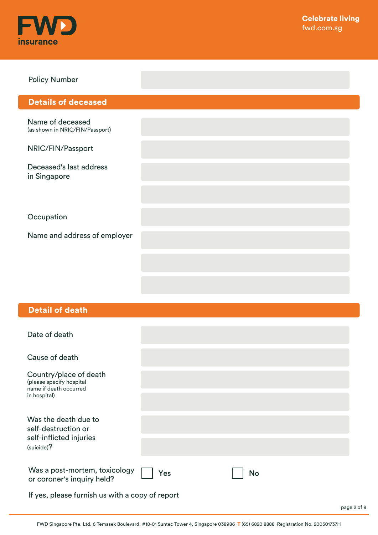

#### Policy Number

### Details of deceased

Name of deceased (as shown in NRIC/FIN/Passport)

NRIC/FIN/Passport

Deceased's last address in Singapore

**Occupation** 

Name and address of employer

#### Detail of death

| Date of death                                                                        |     |           |  |
|--------------------------------------------------------------------------------------|-----|-----------|--|
| Cause of death                                                                       |     |           |  |
| Country/place of death<br>(please specify hospital<br>name if death occurred         |     |           |  |
| in hospital)                                                                         |     |           |  |
| Was the death due to<br>self-destruction or<br>self-inflicted injuries<br>(suicide)? |     |           |  |
|                                                                                      |     |           |  |
| Was a post-mortem, toxicology<br>or coroner's inquiry held?                          | Yes | <b>No</b> |  |
| If yes, please furnish us with a copy of report                                      |     |           |  |

page 2 of 8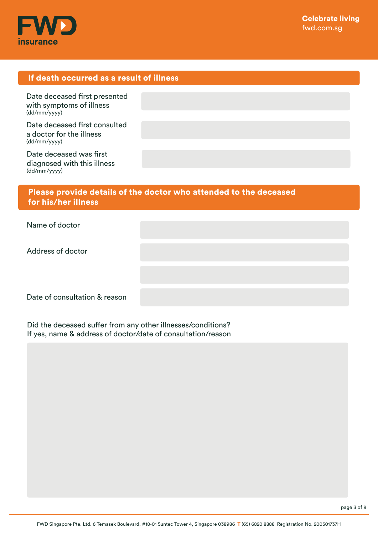

### If death occurred as a result of illness

Date deceased first presented with symptoms of illness (dd/mm/yyyy)

Date deceased first consulted a doctor for the illness (dd/mm/yyyy)

Date deceased was first diagnosed with this illness (dd/mm/yyyy)

### Please provide details of the doctor who attended to the deceased for his/her illness

| Name of doctor                |  |
|-------------------------------|--|
| Address of doctor             |  |
|                               |  |
| Date of consultation & reason |  |

Did the deceased suffer from any other illnesses/conditions? If yes, name & address of doctor/date of consultation/reason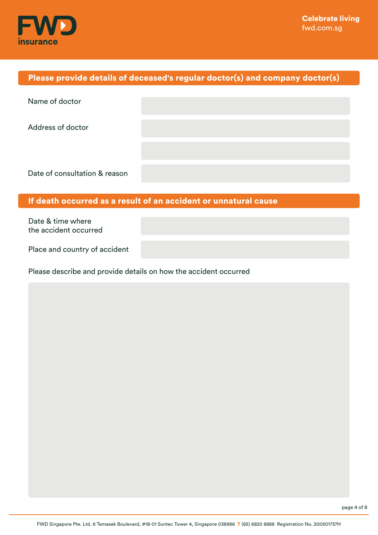

# Please provide details of deceased's regular doctor(s) and company doctor(s)

| Name of doctor                |  |
|-------------------------------|--|
| <b>Address of doctor</b>      |  |
|                               |  |
|                               |  |
| Date of consultation & reason |  |

### If death occurred as a result of an accident or unnatural cause

Date & time where the accident occurred

Place and country of accident

Please describe and provide details on how the accident occurred

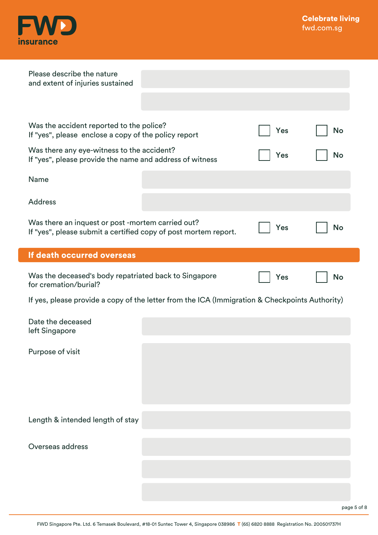

| Please describe the nature<br>and extent of injuries sustained                                                       |     |           |
|----------------------------------------------------------------------------------------------------------------------|-----|-----------|
| Was the accident reported to the police?<br>If "yes", please enclose a copy of the policy report                     | Yes | No        |
| Was there any eye-witness to the accident?<br>If "yes", please provide the name and address of witness               | Yes | <b>No</b> |
| Name                                                                                                                 |     |           |
| <b>Address</b>                                                                                                       |     |           |
| Was there an inquest or post -mortem carried out?<br>If "yes", please submit a certified copy of post mortem report. | Yes | <b>No</b> |
| If death occurred overseas                                                                                           |     |           |
| Was the deceased's body repatriated back to Singapore<br>for cremation/burial?                                       | Yes | <b>No</b> |
| If yes, please provide a copy of the letter from the ICA (Immigration & Checkpoints Authority)                       |     |           |
| Date the deceased<br>left Singapore                                                                                  |     |           |
| Purpose of visit                                                                                                     |     |           |
|                                                                                                                      |     |           |
| Length & intended length of stay                                                                                     |     |           |
| Overseas address                                                                                                     |     |           |
|                                                                                                                      |     |           |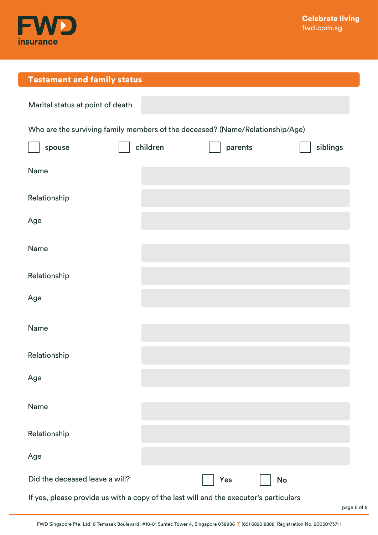

# Testament and family status

| Marital status at point of death                                                      |          |         |           |
|---------------------------------------------------------------------------------------|----------|---------|-----------|
| Who are the surviving family members of the deceased? (Name/Relationship/Age)         |          |         |           |
| spouse                                                                                | children | parents | siblings  |
| Name                                                                                  |          |         |           |
| Relationship                                                                          |          |         |           |
| Age                                                                                   |          |         |           |
| Name                                                                                  |          |         |           |
| Relationship                                                                          |          |         |           |
| Age                                                                                   |          |         |           |
| Name                                                                                  |          |         |           |
| Relationship                                                                          |          |         |           |
| Age                                                                                   |          |         |           |
| Name                                                                                  |          |         |           |
| Relationship                                                                          |          |         |           |
| Age                                                                                   |          |         |           |
| Did the deceased leave a will?                                                        |          | Yes     | <b>No</b> |
| If yes, please provide us with a copy of the last will and the executor's particulars |          |         |           |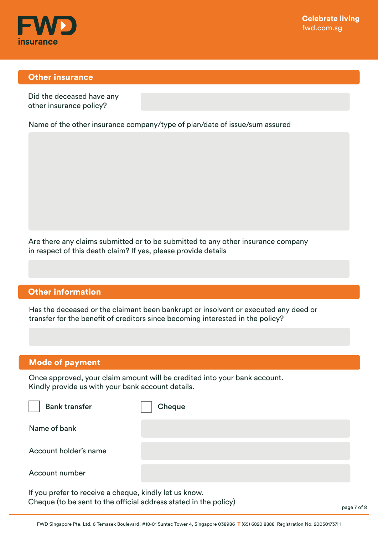

#### Other insurance

Did the deceased have any other insurance policy?

Name of the other insurance company/type of plan/date of issue/sum assured

Are there any claims submitted or to be submitted to any other insurance company in respect of this death claim? If yes, please provide details

#### Other information

Has the deceased or the claimant been bankrupt or insolvent or executed any deed or transfer for the benefit of creditors since becoming interested in the policy?

### Mode of payment

Once approved, your claim amount will be credited into your bank account. Kindly provide us with your bank account details.

| <b>Bank transfer</b>                                   | Cheque |
|--------------------------------------------------------|--------|
| Name of bank                                           |        |
| Account holder's name                                  |        |
| Account number                                         |        |
| If you prefer to receive a cheque, kindly let us know. |        |

Cheque (to be sent to the official address stated in the policy)